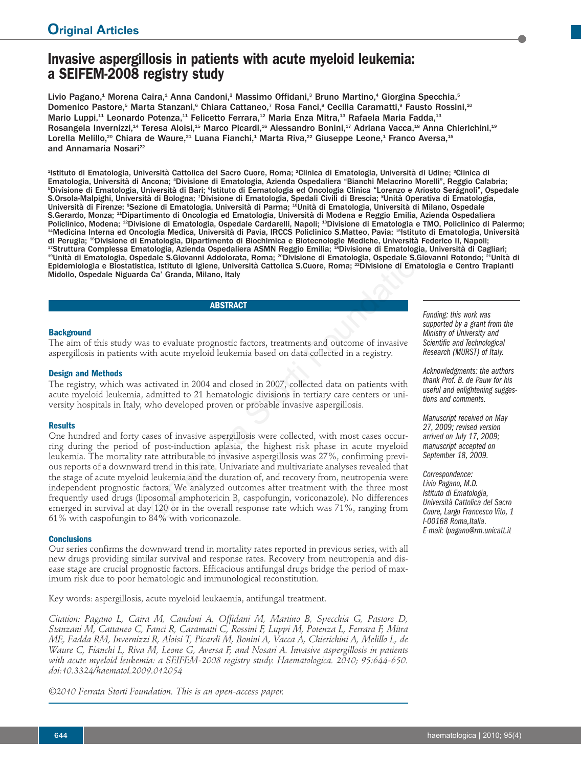# **Invasive aspergillosis in patients with acute myeloid leukemia: a SEIFEM-2008 registry study**

Livio Pagano,<sup>1</sup> Morena Caira,<sup>1</sup> Anna Candoni,<sup>2</sup> Massimo Offidani,<sup>3</sup> Bruno Martino,<sup>4</sup> Giorgina Specchia,<sup>5</sup> Domenico Pastore,<sup>5</sup> Marta Stanzani,<sup>6</sup> Chiara Cattaneo,<sup>7</sup> Rosa Fanci,<sup>8</sup> Cecilia Caramatti,<sup>9</sup> Fausto Rossini,<sup>10</sup> Mario Luppi,<sup>11</sup> Leonardo Potenza,<sup>11</sup> Felicetto Ferrara,<sup>12</sup> Maria Enza Mitra,<sup>13</sup> Rafaela Maria Fadda,<sup>13</sup> Rosangela Invernizzi,<sup>14</sup> Teresa Aloisi,<sup>15</sup> Marco Picardi,<sup>16</sup> Alessandro Bonini,<sup>17</sup> Adriana Vacca,<sup>18</sup> Anna Chierichini,<sup>19</sup> Lorella Melillo,<sup>20</sup> Chiara de Waure,<sup>21</sup> Luana Fianchi,<sup>1</sup> Marta Riva,<sup>22</sup> Giuseppe Leone,<sup>1</sup> Franco Aversa,<sup>15</sup> and Annamaria Nosari<sup>22</sup>

<sup>1</sup>lstituto di Ematologia, Università Cattolica del Sacro Cuore, Roma; <sup>2</sup>Clinica di Ematologia, Università di Udine; <sup>3</sup>Clinica di Ematologia, Università di Ancona; 4 Divisione di Ematologia, Azienda Ospedaliera "Bianchi Melacrino Morelli", Reggio Calabria; <sup>5</sup>Divisione di Ematologia, Università di Bari; <sup>s</sup>lstituto di Eematologia ed Oncologia Clinica "Lorenzo e Ariosto Serágnoli", Ospedale S.Orsola-Malpighi, Università di Bologna; <sup>7</sup>Divisione di Ematologia, Spedali Civili di Brescia; <sup>s</sup>Unità Operativa di Ematologia, Università di Firenze; <sup>o</sup>Sezione di Ematologia, Università di Parma; <sup>10</sup>Unità di Ematologia, Università di Milano, Ospedale S.Gerardo, Monza; <sup>11</sup>Dipartimento di Oncologia ed Ematologia, Università di Modena e Reggio Emilia, Azienda Ospedaliera<br>Policlinico, Modena; <sup>12</sup>Divisione di Ematologia, Ospedale Cardarelli, Napoli; <sup>13</sup>Divisione di Emato <sup>14</sup>Medicina Interna ed Oncologia Medica, Università di Pavia, IRCCS Policlinico S.Matteo, Pavia; <sup>15</sup>Istituto di Ematologia, Università di Perugia; "Divisione di Ematologia, Dipartimento di Biochimica e Biotecnologie Mediche, Università Federico II, Napoli;<br>"Struttura Complessa Ematologia, Azienda Ospedaliera ASMN Reggio Emilia; "Divisione di Ematologia, U Epidemiologia e Biostatistica, Istituto di Igiene, Università Cattolica S.Cuore, Roma; 22Divisione di Ematologia e Centro Trapianti Midollo, Ospedale Niguarda Ca' Granda, Milano, Italy

**ABSTRACT**

## **Background**

The aim of this study was to evaluate prognostic factors, treatments and outcome of invasive aspergillosis in patients with acute myeloid leukemia based on data collected in a registry.

## **Design and Methods**

The registry, which was activated in 2004 and closed in 2007, collected data on patients with acute myeloid leukemia, admitted to 21 hematologic divisions in tertiary care centers or university hospitals in Italy, who developed proven or probable invasive aspergillosis.

## **Results**

One hundred and forty cases of invasive aspergillosis were collected, with most cases occurring during the period of post-induction aplasia, the highest risk phase in acute myeloid leukemia. The mortality rate attributable to invasive aspergillosis was 27%, confirming previous reports of a downward trend in this rate. Univariate and multivariate analyses revealed that the stage of acute myeloid leukemia and the duration of, and recovery from, neutropenia were independent prognostic factors. We analyzed outcomes after treatment with the three most frequently used drugs (liposomal amphotericin B, caspofungin, voriconazole). No differences emerged in survival at day 120 or in the overall response rate which was 71%, ranging from 61% with caspofungin to 84% with voriconazole. dolgia, Azienda Ospedaliera ASMM Regió Emilia; "Divisione di Ematologia, Ospedale S.Giovanni Addolorata, Roma; "Divisione di Ematologia, Ospedale S.Giovani Addolorata, Roma; "Divisione di Ematologia, Ospedale S.Giovani, Et

## **Conclusions**

Our series confirms the downward trend in mortality rates reported in previous series, with all new drugs providing similar survival and response rates. Recovery from neutropenia and disease stage are crucial prognostic factors. Efficacious antifungal drugs bridge the period of maximum risk due to poor hematologic and immunological reconstitution.

Key words: aspergillosis, acute myeloid leukaemia, antifungal treatment.

*Citation: Pagano L, Caira M, Candoni A, Offidani M, Martino B, Specchia G, Pastore D, Stanzani M, Cattaneo C, Fanci R, Caramatti C, Rossini F, Luppi M, Potenza L, Ferrara F, Mitra ME, Fadda RM, Invernizzi R, Aloisi T, Picardi M, Bonini A, Vacca A, Chierichini A, Melillo L, de Waure C, Fianchi L, Riva M, Leone G, Aversa F, and Nosari A. Invasive aspergillosis in patients with acute myeloid leukemia: a SEIFEM-2008 registry study. Haematologica. 2010; 95:644-650. doi:10.3324/haematol.2009.012054*

*©2010 Ferrata Storti Foundation. This is an open-access paper.* 

*Funding: this work was supported by a grant from the Ministry of University and Scientific and Technological Research (MURST) of Italy.* 

*Acknowledgments: the authors thank Prof. B. de Pauw for his useful and enlightening suggestions and comments.*

*Manuscript received on May 27, 2009; revised version arrived on July 17, 2009; manuscript accepted on September 18, 2009.*

*Correspondence: Livio Pagano, M.D. Istituto di Ematologia, Università Cattolica del Sacro Cuore, Largo Francesco Vito, 1 I-00168 Roma,Italia. E-mail: lpagano@rm.unicatt.it*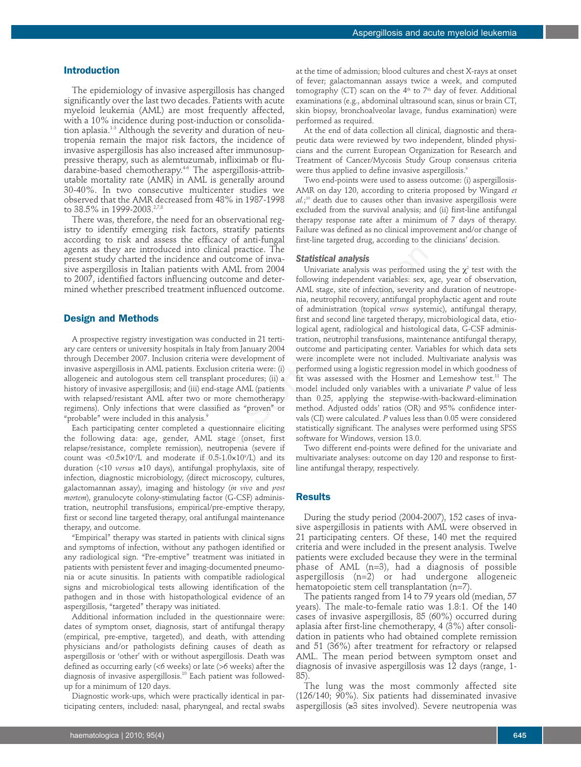## **Introduction**

The epidemiology of invasive aspergillosis has changed significantly over the last two decades. Patients with acute myeloid leukemia (AML) are most frequently affected, with a 10% incidence during post-induction or consolidation aplasia.<sup>1-3</sup> Although the severity and duration of neutropenia remain the major risk factors, the incidence of invasive aspergillosis has also increased after immunosuppressive therapy, such as alemtuzumab, infliximab or fludarabine-based chemotherapy.<sup>4-6</sup> The aspergillosis-attributable mortality rate (AMR) in AML is generally around 30-40%. In two consecutive multicenter studies we observed that the AMR decreased from 48% in 1987-1998 to 38.5% in 1999-2003.<sup>2,7,8</sup>

There was, therefore, the need for an observational registry to identify emerging risk factors, stratify patients according to risk and assess the efficacy of anti-fungal agents as they are introduced into clinical practice. The present study charted the incidence and outcome of invasive aspergillosis in Italian patients with AML from 2004 to 2007, identified factors influencing outcome and determined whether prescribed treatment influenced outcome.

## **Design and Methods**

A prospective registry investigation was conducted in 21 tertiary care centers or university hospitals in Italy from January 2004 through December 2007. Inclusion criteria were development of invasive aspergillosis in AML patients. Exclusion criteria were: (i) allogeneic and autologous stem cell transplant procedures; (ii) a history of invasive aspergillosis; and (iii) end-stage AML (patients with relapsed/resistant AML after two or more chemotherapy regimens). Only infections that were classified as "proven" or "probable" were included in this analysis.<sup>9</sup>

Each participating center completed a questionnaire eliciting the following data: age, gender, AML stage (onset, first relapse/resistance, complete remission), neutropenia (severe if count was  $\langle 0.5 \times 10^9 \rangle L$  and moderate if  $0.5{\text -}1.0 \times 10^9 \rangle L$  and its duration (<10 *versus* ≥10 days), antifungal prophylaxis, site of infection, diagnostic microbiology, (direct microscopy, cultures, galactomannan assay), imaging and histology (*in vivo* and *post mortem*), granulocyte colony-stimulating factor (G-CSF) administration, neutrophil transfusions, empirical/pre-emptive therapy, first or second line targeted therapy, oral antifungal maintenance therapy, and outcome.

"Empirical" therapy was started in patients with clinical signs and symptoms of infection, without any pathogen identified or any radiological sign. "Pre-emptive" treatment was initiated in patients with persistent fever and imaging-documented pneumonia or acute sinusitis. In patients with compatible radiological signs and microbiological tests allowing identification of the pathogen and in those with histopathological evidence of an aspergillosis, "targeted" therapy was initiated.

Additional information included in the questionnaire were: dates of symptom onset, diagnosis, start of antifungal therapy (empirical, pre-emptive, targeted), and death, with attending physicians and/or pathologists defining causes of death as aspergillosis or 'other' with or without aspergillosis. Death was defined as occurring early (<6 weeks) or late (>6 weeks) after the diagnosis of invasive aspergillosis.10 Each patient was followedup for a minimum of 120 days.

Diagnostic work-ups, which were practically identical in participating centers, included: nasal, pharyngeal, and rectal swabs

at the time of admission; blood cultures and chest X-rays at onset of fever; galactomannan assays twice a week, and computed tomography (CT) scan on the  $4<sup>th</sup>$  to  $7<sup>th</sup>$  day of fever. Additional examinations (e.g., abdominal ultrasound scan, sinus or brain CT, skin biopsy, bronchoalveolar lavage, fundus examination) were performed as required.

At the end of data collection all clinical, diagnostic and therapeutic data were reviewed by two independent, blinded physicians and the current European Organization for Research and Treatment of Cancer/Mycosis Study Group consensus criteria were thus applied to define invasive aspergillosis.<sup>9</sup>

Two end-points were used to assess outcome: (i) aspergillosis-AMR on day 120, according to criteria proposed by Wingard *et al.*; <sup>10</sup> death due to causes other than invasive aspergillosis were excluded from the survival analysis; and (ii) first-line antifungal therapy response rate after a minimum of 7 days of therapy. Failure was defined as no clinical improvement and/or change of first-line targeted drug, according to the clinicians' decision.

## *Statistical analysis*

Univariate analysis was performed using the  $\chi^2$  test with the following independent variables: sex, age, year of observation, AML stage, site of infection, severity and duration of neutropenia, neutrophil recovery, antifungal prophylactic agent and route of administration (topical *versus* systemic), antifungal therapy, first and second line targeted therapy, microbiological data, etiological agent, radiological and histological data, G-CSF administration, neutrophil transfusions, maintenance antifungal therapy, outcome and participating center. Variables for which data sets were incomplete were not included. Multivariate analysis was performed using a logistic regression model in which goodness of fit was assessed with the Hosmer and Lemeshow test.<sup>11</sup> The model included only variables with a univariate *P* value of less than 0.25, applying the stepwise-with-backward-elimination method. Adjusted odds' ratios (OR) and 95% confidence intervals (CI) were calculated. *P* values less than 0.05 were considered statistically significant. The analyses were performed using SPSS software for Windows, version 13.0. troduced into clinical practice. The<br>
incidence and outcome of inva-<br> **Statistical analysis**<br>
the incidence and outcome of inva-<br>
statistical analysis was performed<br>
then paidents with AML from 2004 Univariate analysis wa

Two different end-points were defined for the univariate and multivariate analyses: outcome on day 120 and response to firstline antifungal therapy, respectively.

# **Results**

During the study period (2004-2007), 152 cases of invasive aspergillosis in patients with AML were observed in 21 participating centers. Of these, 140 met the required criteria and were included in the present analysis. Twelve patients were excluded because they were in the terminal phase of AML (n=3), had a diagnosis of possible aspergillosis  $(n=2)$  or had undergone allogeneic hematopoietic stem cell transplantation (n=7).

The patients ranged from 14 to 79 years old (median, 57 years). The male-to-female ratio was 1.8:1. Of the 140 cases of invasive aspergillosis, 85 (60%) occurred during aplasia after first-line chemotherapy, 4 (3%) after consolidation in patients who had obtained complete remission and 51 (36%) after treatment for refractory or relapsed AML. The mean period between symptom onset and diagnosis of invasive aspergillosis was 12 days (range, 1- 85).

The lung was the most commonly affected site (126/140; 90%). Six patients had disseminated invasive aspergillosis (≥3 sites involved). Severe neutropenia was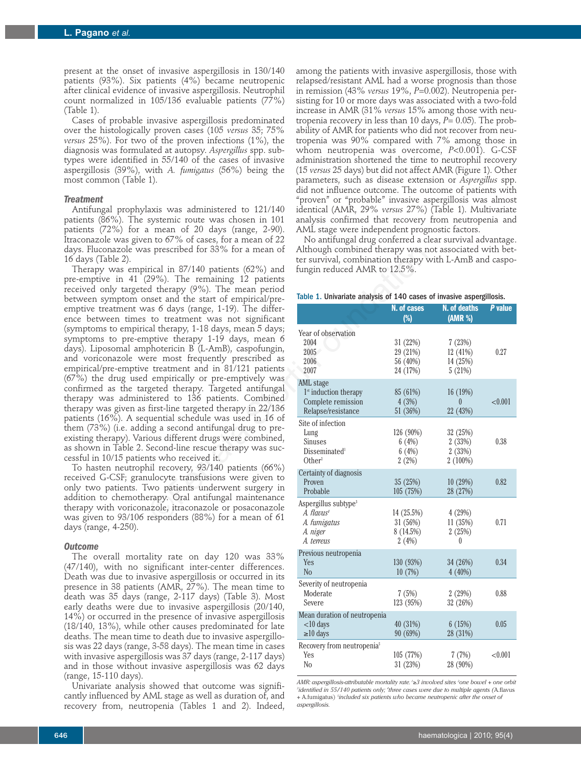present at the onset of invasive aspergillosis in 130/140 patients (93%). Six patients (4%) became neutropenic after clinical evidence of invasive aspergillosis. Neutrophil count normalized in 105/136 evaluable patients (77%) (Table 1).

Cases of probable invasive aspergillosis predominated over the histologically proven cases (105 *versus* 35; 75% *versus* 25%). For two of the proven infections (1%), the diagnosis was formulated at autopsy. *Aspergillus* spp. subtypes were identified in 55/140 of the cases of invasive aspergillosis (39%), with *A. fumigatus* (56%) being the most common (Table 1).

## *Treatment*

Antifungal prophylaxis was administered to 121/140 patients (86%). The systemic route was chosen in 101 patients (72%) for a mean of 20 days (range, 2-90). Itraconazole was given to 67% of cases, for a mean of 22 days. Fluconazole was prescribed for 33% for a mean of 16 days (Table 2).

Therapy was empirical in 87/140 patients (62%) and pre-emptive in 41 (29%). The remaining 12 patients received only targeted therapy (9%). The mean period between symptom onset and the start of empirical/preemptive treatment was 6 days (range, 1-19). The difference between times to treatment was not significant (symptoms to empirical therapy, 1-18 days, mean 5 days; symptoms to pre-emptive therapy 1-19 days, mean 6 days). Liposomal amphotericin B (L-AmB), caspofungin, and voriconazole were most frequently prescribed as empirical/pre-emptive treatment and in 81/121 patients (67%) the drug used empirically or pre-emptively was confirmed as the targeted therapy. Targeted antifungal therapy was administered to 136 patients. Combined therapy was given as first-line targeted therapy in 22/136 patients (16%). A sequential schedule was used in 16 of them (73%) (i.e. adding a second antifungal drug to preexisting therapy). Various different drugs were combined, as shown in Table 2. Second-line rescue therapy was successful in 10/15 patients who received it.

To hasten neutrophil recovery, 93/140 patients (66%) received G-CSF; granulocyte transfusions were given to only two patients. Two patients underwent surgery in addition to chemotherapy. Oral antifungal maintenance therapy with voriconazole, itraconazole or posaconazole was given to 93/106 responders (88%) for a mean of 61 days (range, 4-250).

#### *Outcome*

The overall mortality rate on day 120 was 33% (47/140), with no significant inter-center differences. Death was due to invasive aspergillosis or occurred in its presence in 38 patients (AMR, 27%). The mean time to death was 35 days (range, 2-117 days) (Table 3). Most early deaths were due to invasive aspergillosis (20/140, 14%) or occurred in the presence of invasive aspergillosis (18/140, 13%), while other causes predominated for late deaths. The mean time to death due to invasive aspergillosis was 22 days (range, 3-58 days). The mean time in cases with invasive aspergillosis was 37 days (range, 2-117 days) and in those without invasive aspergillosis was 62 days (range, 15-110 days).

Univariate analysis showed that outcome was significantly influenced by AML stage as well as duration of, and recovery from, neutropenia (Tables 1 and 2). Indeed, among the patients with invasive aspergillosis, those with relapsed/resistant AML had a worse prognosis than those in remission (43% *versus* 19%, *P*=0.002). Neutropenia persisting for 10 or more days was associated with a two-fold increase in AMR (31% *versus* 15% among those with neutropenia recovery in less than 10 days,  $P = 0.05$ ). The probability of AMR for patients who did not recover from neutropenia was 90% compared with 7% among those in whom neutropenia was overcome, *P*<0.001). G-CSF administration shortened the time to neutrophil recovery (15 *versus* 25 days) but did not affect AMR (Figure 1). Other parameters, such as disease extension or *Aspergillus* spp. did not influence outcome. The outcome of patients with "proven" or "probable" invasive aspergillosis was almost identical (AMR, 29% *versus* 27%) (Table 1). Multivariate analysis confirmed that recovery from neutropenia and AML stage were independent prognostic factors.

No antifungal drug conferred a clear survival advantage. Although combined therapy was not associated with better survival, combination therapy with L-AmB and caspofungin reduced AMR to 12.5%.

## Table 1. Univariate analysis of 140 cases of invasive aspergillosis.

| s prescribed for 33% for a mean of                                                                                                                                                                                                                                                                                                                                                                                                                                                                                                                                                                                                                                                                                                                                     | Although combined therapy was not associated with bet-<br>ter survival, combination therapy with L-AmB and caspo- |                                              |                                                                                                                                                                                                                                                                                   |         |
|------------------------------------------------------------------------------------------------------------------------------------------------------------------------------------------------------------------------------------------------------------------------------------------------------------------------------------------------------------------------------------------------------------------------------------------------------------------------------------------------------------------------------------------------------------------------------------------------------------------------------------------------------------------------------------------------------------------------------------------------------------------------|-------------------------------------------------------------------------------------------------------------------|----------------------------------------------|-----------------------------------------------------------------------------------------------------------------------------------------------------------------------------------------------------------------------------------------------------------------------------------|---------|
| rical in $87/140$ patients $(62%)$ and<br>29%). The remaining 12 patients<br>d therapy (9%). The mean period<br>nset and the start of empirical/pre-                                                                                                                                                                                                                                                                                                                                                                                                                                                                                                                                                                                                                   | fungin reduced AMR to 12.5%.<br>Table 1. Univariate analysis of 140 cases of invasive aspergillosis.              |                                              |                                                                                                                                                                                                                                                                                   |         |
| as 6 days (range, 1-19). The differ-                                                                                                                                                                                                                                                                                                                                                                                                                                                                                                                                                                                                                                                                                                                                   |                                                                                                                   | N. of cases                                  | N. of deaths                                                                                                                                                                                                                                                                      | P value |
| to treatment was not significant                                                                                                                                                                                                                                                                                                                                                                                                                                                                                                                                                                                                                                                                                                                                       |                                                                                                                   | $(\%)$                                       | (AMR %)<br>7(23%)<br>12 (41%)<br>14 (25%)<br>5(21%)<br>16 (19%)<br>0<br>22 (43%)<br>32 (25%)<br>2(33%)<br>2(33%)<br>$2(100\%)$<br>10 (29%)<br>28 (27%)<br>4(29%)<br>11(35%)<br>2(25%)<br>0<br>34 (26%)<br>4(40%)<br>2(29%)<br>32 (26%)<br>6(15%)<br>28 (31%)<br>7(7%)<br>28 (90%) |         |
| cal therapy, 1-18 days, mean 5 days;<br>ptive therapy 1-19 days, mean 6<br>photericin B (L-AmB), caspofungin,<br>ere most frequently prescribed as<br>e treatment and in 81/121 patients<br>empirically or pre-emptively was<br>geted therapy. Targeted antifungal<br>stered to 136 patients. Combined<br>first-line targeted therapy in 22/136<br>quential schedule was used in 16 of<br>ng a second antifungal drug to pre-<br>ious different drugs were combined,<br>Second-line rescue therapy was suc-<br>nts who received it.<br>nil recovery, 93/140 patients (66%)<br>ulocyte transfusions were given to<br>wo patients underwent surgery in<br>erapy. Oral antifungal maintenance<br>azole, itraconazole or posaconazole<br>responders (88%) for a mean of 61 | Year of observation<br>2004<br>2005<br>2006<br>2007                                                               | 31 (22%)<br>29 (21%)<br>56 (40%)<br>24 (17%) |                                                                                                                                                                                                                                                                                   | 0.27    |
|                                                                                                                                                                                                                                                                                                                                                                                                                                                                                                                                                                                                                                                                                                                                                                        | AML stage<br>1 <sup>st</sup> induction therapy<br>Complete remission<br>Relapse/resistance                        | 85 (61%)<br>4(3%)<br>51 (36%)                |                                                                                                                                                                                                                                                                                   | < 0.001 |
|                                                                                                                                                                                                                                                                                                                                                                                                                                                                                                                                                                                                                                                                                                                                                                        | Site of infection<br>Lung<br>Sinuses<br>Disseminated <sup>1</sup><br>Other <sup>2</sup>                           | 126 (90%)<br>6(4%)<br>6(4%)<br>2(2%)         |                                                                                                                                                                                                                                                                                   | 0.38    |
|                                                                                                                                                                                                                                                                                                                                                                                                                                                                                                                                                                                                                                                                                                                                                                        | Certainty of diagnosis<br>Proven<br>Probable                                                                      | 35 (25%)<br>105(75%)                         |                                                                                                                                                                                                                                                                                   | 0.82    |
|                                                                                                                                                                                                                                                                                                                                                                                                                                                                                                                                                                                                                                                                                                                                                                        | Aspergillus subtype <sup>3</sup><br>$A.$ flavus <sup>4</sup><br>A. fumigatus<br>A. niger<br>A. terreus            | 14(25.5%)<br>31(56%)<br>8 (14.5%)<br>2(4%)   |                                                                                                                                                                                                                                                                                   | 0.71    |
| ality rate on day 120 was 33%<br>ignificant inter-center differences.<br>asive aspergillosis or occurred in its<br>ts (AMR, 27%). The mean time to<br>range, 2-117 days) (Table 3). Most<br>ie to invasive aspergillosis (20/140,<br>he presence of invasive aspergillosis<br>other causes predominated for late<br>e to death due to invasive aspergillo-<br>, 3-58 days). The mean time in cases<br>losis was 37 days (range, 2-117 days)<br>: invasive aspergillosis was 62 days                                                                                                                                                                                                                                                                                    | Previous neutropenia<br>Yes<br>N <sub>o</sub>                                                                     | 130 (93%)<br>10(7%)                          |                                                                                                                                                                                                                                                                                   | 0.34    |
|                                                                                                                                                                                                                                                                                                                                                                                                                                                                                                                                                                                                                                                                                                                                                                        | Severity of neutropenia<br>Moderate<br>Severe                                                                     | 7(5%)<br>123 (95%)                           |                                                                                                                                                                                                                                                                                   | 0.88    |
|                                                                                                                                                                                                                                                                                                                                                                                                                                                                                                                                                                                                                                                                                                                                                                        | Mean duration of neutropenia<br>$<$ 10 days<br>$\geq 10$ days                                                     | 40 (31%)<br>90 (69%)                         |                                                                                                                                                                                                                                                                                   | 0.05    |
|                                                                                                                                                                                                                                                                                                                                                                                                                                                                                                                                                                                                                                                                                                                                                                        | Recovery from neutropenia <sup>5</sup><br>Yes<br>N <sub>o</sub>                                                   | 105 (77%)<br>31 (23%)                        |                                                                                                                                                                                                                                                                                   | < 0.001 |

*AMR: aspergillosis-attributable mortality rate. 1* ≥*3 involved sites 2 one bowel + one orbit 3 identified in 55/140 patients only; 4 three cases were due to multiple agents (*A.flavus *+* A.fumigatus) *<sup>5</sup> included six patients who became neutropenic after the onset of aspergillosis.*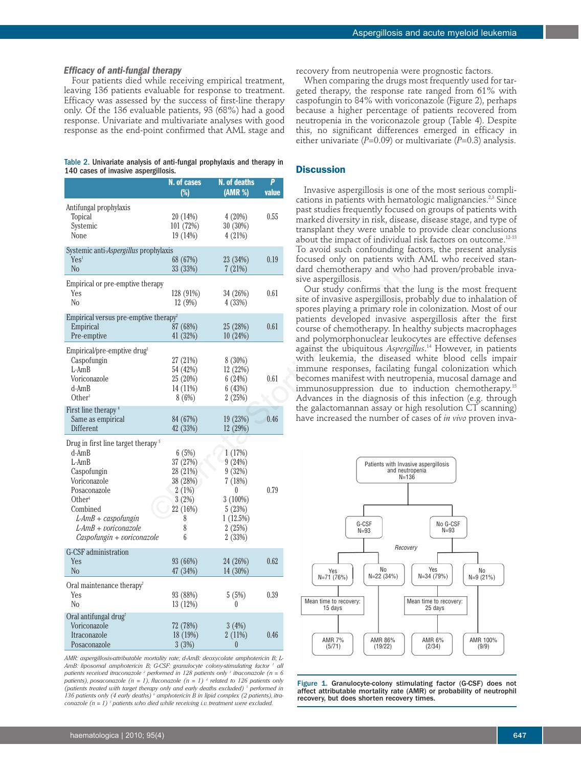#### *Efficacy of anti-fungal therapy*

Four patients died while receiving empirical treatment, leaving 136 patients evaluable for response to treatment. Efficacy was assessed by the success of first-line therapy only. Of the 136 evaluable patients, 93 (68%) had a good response. Univariate and multivariate analyses with good response as the end-point confirmed that AML stage and

## Table 2. Univariate analysis of anti-fungal prophylaxis and therapy in 140 cases of invasive aspergillosis.

|                                                                                                                                                                                                                                         | N. of cases<br>$(\%)$                                                                  | N. of deaths<br>(AMR %)                                                                                  | P<br>value | Invasive aspergillosis is one of th                                                                                                                                                                                               |
|-----------------------------------------------------------------------------------------------------------------------------------------------------------------------------------------------------------------------------------------|----------------------------------------------------------------------------------------|----------------------------------------------------------------------------------------------------------|------------|-----------------------------------------------------------------------------------------------------------------------------------------------------------------------------------------------------------------------------------|
| Antifungal prophylaxis<br><b>Topical</b><br>Systemic<br>None                                                                                                                                                                            | 20 (14%)<br>101 (72%)<br>19(14%)                                                       | 4(20%)<br>30 (30%)<br>4(21%)                                                                             | 0.55       | cations in patients with hematolog<br>past studies frequently focused on<br>marked diversity in risk, disease, di<br>transplant they were unable to pro<br>about the impact of individual risk                                    |
| Systemic anti- <i>Aspergillus</i> prophylaxis<br>Yes <sup>1</sup><br>N <sub>o</sub>                                                                                                                                                     | 68 (67%)<br>33 (33%)                                                                   | 23 (34%)<br>7(21%)                                                                                       | 0.19       | To avoid such confounding factor<br>focused only on patients with AN<br>dard chemotherapy and who had                                                                                                                             |
| Empirical or pre-emptive therapy<br>Yes<br>N <sub>0</sub>                                                                                                                                                                               | 128 (91%)<br>12(9%)                                                                    | 34 (26%)<br>4(33%)                                                                                       | 0.61       | sive aspergillosis.<br>Our study confirms that the lun<br>site of invasive aspergillosis, probal<br>spores playing a primary role in co.                                                                                          |
| Empirical versus pre-emptive therapy <sup>2</sup><br>Empirical<br>Pre-emptive                                                                                                                                                           | 87 (68%)<br>41 (32%)                                                                   | 25 (28%)<br>10(24%)                                                                                      | 0.61       | patients developed invasive aspe<br>course of chemotherapy. In healthy<br>and polymorphonuclear leukocytes                                                                                                                        |
| Empirical/pre-emptive drug <sup>2</sup><br>Caspofungin<br>$L$ -Am $B$<br>Voriconazole<br>$d$ -Am $B$<br>Other <sup>3</sup>                                                                                                              | 27 (21%)<br>54 (42%)<br>25 (20%)<br>14 (11%)<br>8 (6%)                                 | 8 (30%)<br>12 (22%)<br>6(24%)<br>6(43%)<br>2(25%)                                                        | 0.61       | against the ubiquitous Aspergillus. <sup>1</sup><br>with leukemia, the diseased wh<br>immune responses, facilating fung<br>becomes manifest with neutropeni<br>immunosuppression due to indu<br>Advances in the diagnosis of this |
| First line therapy <sup>4</sup><br>Same as empirical<br>Different                                                                                                                                                                       | 84 (67%)<br>42 (33%)                                                                   | 19 (23%)<br>12(29%)                                                                                      | 0.46       | the galactomannan assay or high re<br>have increased the number of cases                                                                                                                                                          |
| Drug in first line target therapy <sup>5</sup><br>$d$ -Am $B$<br>$L$ -Am $B$<br>Caspofungin<br>Voriconazole<br>Posaconazole<br>Other $6$<br>Combined<br>$L$ -AmB + caspofungin<br>$L$ -AmB + voriconazole<br>Caspofungin + voriconazole | 6(5%)<br>37 (27%)<br>28 (21%)<br>38 (28%)<br>2(1%)<br>3(2%)<br>22 (16%)<br>8<br>8<br>6 | 1(17%)<br>9(24%)<br>9(32%)<br>7(18%)<br>$\theta$<br>$3(100\%)$<br>5(23%)<br>1(12.5%)<br>2(25%)<br>2(33%) | 0.79       | Patients with Invasive aspe<br>and neutropenia<br>$N = 136$<br>G-CSF<br>$N = 93$                                                                                                                                                  |
| G-CSF administration<br>Yes<br>N <sub>o</sub>                                                                                                                                                                                           | 93 (66%)<br>47 (34%)                                                                   | 24 (26%)<br>14(30%)                                                                                      | 0.62       | Recovery<br>No<br>Yes<br>$N=3$<br>$N=22(34%)$                                                                                                                                                                                     |
| Oral maintenance therapy <sup>7</sup><br>Yes<br>N <sub>0</sub>                                                                                                                                                                          | 93 (88%)<br>13(12%)                                                                    | 5(5%)<br>$\theta$                                                                                        | 0.39       | N=71 (76%)<br>Mean time to recovery:<br>Mean tim<br>15 days<br>$\overline{2}$                                                                                                                                                     |
| Oral antifungal drug <sup>7</sup><br>Voriconazole<br>Itraconazole<br>Posaconazole                                                                                                                                                       | 72 (78%)<br>18(19%)<br>3(3%)                                                           | 3(4%)<br>2 (11%)<br>$\theta$                                                                             | 0.46       | <b>AMR 7%</b><br>AMR 86%<br>AN<br>(5/71)<br>(19/22)<br>ű                                                                                                                                                                          |

*AMR: aspergillosis-attributable mortality rate; d-AmB: deoxycolate amphotericin B; L-AmB: liposomal amphotericin B; G-CSF: granulocyte colony-stimulating factor 1 all patients received itraconazole 2 performed in 128 patients only 3 itraconazole (n = 6 patients), posaconazole*  $(n = 1)$ *, fluconazole*  $(n = 1)$  *<sup>4</sup> <i>related to 126 patients only (patients treated with target therapy only and early deaths excluded) 5 performed in 136 patients only (4 early deaths) 6 amphotericin B in lipid complex (2 patients), itraconazole (n = 1) 7 patients who died while receiving i.v. treatment were excluded.*

recovery from neutropenia were prognostic factors.

When comparing the drugs most frequently used for targeted therapy, the response rate ranged from 61% with caspofungin to 84% with voriconazole (Figure 2), perhaps because a higher percentage of patients recovered from neutropenia in the voriconazole group (Table 4). Despite this, no significant differences emerged in efficacy in either univariate (*P*=0.09) or multivariate (*P*=0.3) analysis.

# **Discussion**

Invasive aspergillosis is one of the most serious complications in patients with hematologic malignancies.<sup>2,3</sup> Since past studies frequently focused on groups of patients with marked diversity in risk, disease, disease stage, and type of transplant they were unable to provide clear conclusions about the impact of individual risk factors on outcome.<sup>12-13</sup> To avoid such confounding factors, the present analysis focused only on patients with AML who received standard chemotherapy and who had proven/probable invasive aspergillosis.

Our study confirms that the lung is the most frequent site of invasive aspergillosis, probably due to inhalation of spores playing a primary role in colonization. Most of our patients developed invasive aspergillosis after the first course of chemotherapy. In healthy subjects macrophages and polymorphonuclear leukocytes are effective defenses against the ubiquitous *Aspergillus*. <sup>14</sup> However, in patients with leukemia, the diseased white blood cells impair immune responses, facilating fungal colonization which becomes manifest with neutropenia, mucosal damage and immunosuppression due to induction chemotherapy.15 Advances in the diagnosis of this infection (e.g. through the galactomannan assay or high resolution CT scanning) have increased the number of cases of *in vivo* proven inva-



Figure 1. Granulocyte-colony stimulating factor (G-CSF) does not affect attributable mortality rate (AMR) or probability of neutrophil recovery, but does shorten recovery times.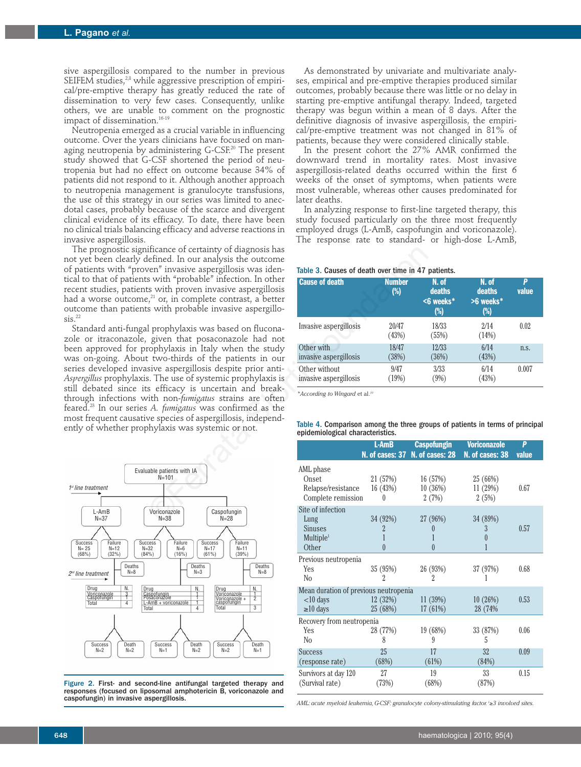sive aspergillosis compared to the number in previous SEIFEM studies,<sup>2,8</sup> while aggressive prescription of empirical/pre-emptive therapy has greatly reduced the rate of dissemination to very few cases. Consequently, unlike others, we are unable to comment on the prognostic impact of dissemination.<sup>16-19</sup>

Neutropenia emerged as a crucial variable in influencing outcome. Over the years clinicians have focused on managing neutropenia by administering G-CSF.<sup>20</sup> The present study showed that G-CSF shortened the period of neutropenia but had no effect on outcome because 34% of patients did not respond to it. Although another approach to neutropenia management is granulocyte transfusions, the use of this strategy in our series was limited to anecdotal cases, probably because of the scarce and divergent clinical evidence of its efficacy. To date, there have been no clinical trials balancing efficacy and adverse reactions in invasive aspergillosis.

The prognostic significance of certainty of diagnosis has not yet been clearly defined. In our analysis the outcome of patients with "proven" invasive aspergillosis was identical to that of patients with "probable" infection. In other recent studies, patients with proven invasive aspergillosis had a worse outcome, $^{21}$  or, in complete contrast, a better outcome than patients with probable invasive aspergillo $sis.<sup>22</sup>$ 

Standard anti-fungal prophylaxis was based on fluconazole or itraconazole, given that posaconazole had not been approved for prophylaxis in Italy when the study was on-going. About two-thirds of the patients in our series developed invasive aspergillosis despite prior anti*-Aspergillus* prophylaxis. The use of systemic prophylaxis is still debated since its efficacy is uncertain and breakthrough infections with non-*fumigatus* strains are often feared.23 In our series *A. fumigatus* was confirmed as the most frequent causative species of aspergillosis, independently of whether prophylaxis was systemic or not. ificance of certainty of diagnosis has<br>
befined. In our analysis the outcome<br>
ben'' invasive aspergillosis was iden-<br>
storti prophylaxis was iden-<br>
storti prophylaxis as interestinguists are death to the contrast, a bette



Figure 2. First- and second-line antifungal targeted therapy and responses (focused on liposomal amphotericin B, voriconazole and caspofungin) in invasive aspergillosis.

As demonstrated by univariate and multivariate analyses, empirical and pre-emptive therapies produced similar outcomes, probably because there was little or no delay in starting pre-emptive antifungal therapy. Indeed, targeted therapy was begun within a mean of 8 days. After the definitive diagnosis of invasive aspergillosis, the empirical/pre-emptive treatment was not changed in 81% of patients, because they were considered clinically stable.

In the present cohort the 27% AMR confirmed the downward trend in mortality rates. Most invasive aspergillosis-related deaths occurred within the first 6 weeks of the onset of symptoms, when patients were most vulnerable, whereas other causes predominated for later deaths.

In analyzing response to first-line targeted therapy, this study focused particularly on the three most frequently employed drugs (L-AmB, caspofungin and voriconazole). The response rate to standard- or high-dose L-AmB,

## Table 3. Causes of death over time in 47 patients.

| <b>Cause of death</b>  | <b>Number</b><br>$(\%)$ | N. of<br>deaths<br><6 weeks*<br>(%) | N. of<br>deaths<br>>6 weeks*<br>$(\%)$ | p<br>value |
|------------------------|-------------------------|-------------------------------------|----------------------------------------|------------|
| Invasive aspergillosis | 20/47<br>(43%)          | 18/33<br>(55%)                      | 2/14<br>(14%)                          | 0.02       |
| Other with             | 18/47                   | 12/33                               | 6/14                                   | n.s.       |
| invasive aspergillosis | (38%)                   | (36%)                               | (43%)                                  |            |
| Other without          | 9/47                    | 3/33                                | 6/14                                   | 0.007      |
| invasive aspergillosis | (19%)                   | $(9\%)$                             | (43%)                                  |            |

*\*According to Wingard* et al.*<sup>10</sup>*

## Table 4. Comparison among the three groups of patients in terms of principal epidemiological characteristics.

|                                       | L-AmB          | <b>Caspofungin</b><br>N. of cases: 37 N. of cases: 28 | <b>Voriconazole</b><br>N. of cases: 38 | P<br>value |  |  |
|---------------------------------------|----------------|-------------------------------------------------------|----------------------------------------|------------|--|--|
| AML phase                             |                |                                                       |                                        |            |  |  |
| Onset                                 | 21 (57%)       | 16(57%)                                               | 25 (66%)                               |            |  |  |
| Relapse/resistance                    | 16 (43%)       | 10(36%)                                               | 11 (29%)                               | 0.67       |  |  |
| Complete remission                    | 0              | 2(7%)                                                 | 2(5%)                                  |            |  |  |
| Site of infection                     |                |                                                       |                                        |            |  |  |
| Lung                                  | 34 (92%)       | 27 (96%)                                              | 34 (89%)                               |            |  |  |
| <b>Sinuses</b>                        | $\overline{2}$ | 0                                                     | 3                                      | 0.57       |  |  |
| Multiple <sup>1</sup>                 |                |                                                       | $\left( \right)$                       |            |  |  |
| Other                                 | $\theta$       | $\overline{0}$                                        |                                        |            |  |  |
| Previous neutropenia                  |                |                                                       |                                        |            |  |  |
| Yes                                   | 35 (95%)       | 26 (93%)                                              | 37 (97%)                               | 0.68       |  |  |
| N <sub>0</sub>                        | 2              | 2                                                     |                                        |            |  |  |
| Mean duration of previous neutropenia |                |                                                       |                                        |            |  |  |
| $<$ 10 days                           | 12(32%)        | 11(39%)                                               | 10(26%)                                | 0.53       |  |  |
| $\geq 10$ days                        | 25 (68%)       | 17 (61%)                                              | 28 (74%                                |            |  |  |
| Recovery from neutropenia             |                |                                                       |                                        |            |  |  |
| <b>Yes</b>                            | 28 (77%)       | 19 (68%)                                              | 33 (87%)                               | 0.06       |  |  |
| No                                    | 8              | 9                                                     | 5                                      |            |  |  |
| <b>Success</b>                        | 25             | 17                                                    | 32                                     | 0.09       |  |  |
| (response rate)                       | (68%)          | (61%)                                                 | (84%)                                  |            |  |  |
| Survivors at day 120                  | 27             | 19                                                    | 33                                     | 0.15       |  |  |
| (Survival rate)                       | (73%)          | (68%)                                                 | (87%)                                  |            |  |  |

*AML: acute myeloid leukemia, G-CSF: granulocyte colony-stimulating factor. 1* ≥*3 involved sites.*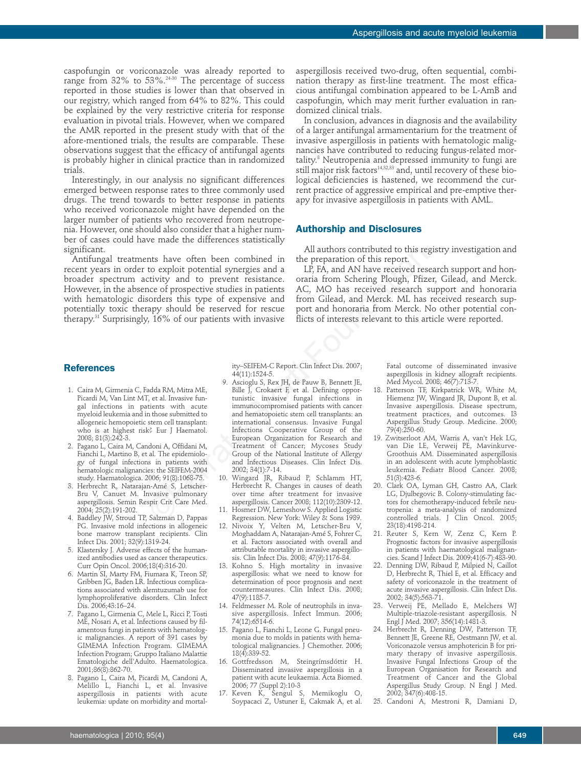caspofungin or voriconazole was already reported to range from 32% to 53%.<sup>24-30</sup> The percentage of success reported in those studies is lower than that observed in our registry, which ranged from 64% to 82%. This could be explained by the very restrictive criteria for response evaluation in pivotal trials. However, when we compared the AMR reported in the present study with that of the afore-mentioned trials, the results are comparable. These observations suggest that the efficacy of antifungal agents is probably higher in clinical practice than in randomized trials.

Interestingly, in our analysis no significant differences emerged between response rates to three commonly used drugs. The trend towards to better response in patients who received voriconazole might have depended on the larger number of patients who recovered from neutropenia. However, one should also consider that a higher number of cases could have made the differences statistically significant.

Antifungal treatments have often been combined in recent years in order to exploit potential synergies and a broader spectrum activity and to prevent resistance. However, in the absence of prospective studies in patients with hematologic disorders this type of expensive and potentially toxic therapy should be reserved for rescue therapy.31 Surprisingly, 16% of our patients with invasive

aspergillosis received two-drug, often sequential, combination therapy as first-line treatment. The most efficacious antifungal combination appeared to be L-AmB and caspofungin, which may merit further evaluation in randomized clinical trials.

In conclusion, advances in diagnosis and the availability of a larger antifungal armamentarium for the treatment of invasive aspergillosis in patients with hematologic malignancies have contributed to reducing fungus-related mortality.<sup>8</sup> Neutropenia and depressed immunity to fungi are still major risk factors<sup>14,32,33</sup> and, until recovery of these biological deficiencies is hastened, we recommend the current practice of aggressive empirical and pre-emptive therapy for invasive aspergillosis in patients with AML.

## **Authorship and Disclosures**

All authors contributed to this registry investigation and the preparation of this report.

LP, FA, and AN have received research support and honoraria from Schering Plough, Pfizer, Gilead, and Merck. AC, MO has received research support and honoraria from Gilead, and Merck. ML has received research support and honoraria from Merck. No other potential conflicts of interests relevant to this article were reported.

## **References**

- 1. Caira M, Girmenia C, Fadda RM, Mitra ME, Picardi M, Van Lint MT, et al. Invasive fungal infections in patients with acute myeloid leukemia and in those submitted to allogeneic hemopoietic stem cell transplant: who is at highest risk? Eur J Haematol. 2008; 81(3):242-3.
- 2. Pagano L, Caira M, Candoni A, Offidani M, Fianchi L, Martino B, et al. The epidemiology of fungal infections in patients with hematologic malignancies: the SEIFEM-2004 study. Haematologica. 2006; 91(8):1068-75.
- 3. Herbrecht R, Natarajan-Amé S, Letscher-Bru V, Canuet M. Invasive pulmonary aspergillosis. Semin Respir Crit Care Med. 2004; 25(2):191-202.
- 4. Baddley JW, Stroud TP, Salzman D, Pappas PG. Invasive mold infections in allogeneic bone marrow transplant recipients. Clin Infect Dis. 2001; 32(9):1319-24.
- 5. Klastersky J. Adverse effects of the humanized antibodies used as cancer therapeutics. Curr Opin Oncol. 2006;18(4):316-20.
- 6. Martin SI, Marty FM, Fiumara K, Treon SP, Gribben JG, Baden LR. Infectious complications associated with alemtuzumab use for lymphoproliferative disorders. Clin Infect Dis. 2006;43:16–24.
- 7. Pagano L, Girmenia C, Mele L, Ricci P, Tosti ME, Nosari A, et al. Infections caused by filamentous fungi in patients with hematologic malignancies. A report of 391 cases by GIMEMA Infection Program. GIMEMA Infection Program; Gruppo Italiano Malattie Ematologiche dell'Adulto. Haematologica. 2001;86(8):862-70.
- 8. Pagano L, Caira M, Picardi M, Candoni A, Melillo L, Fianchi L, et al. Invasive aspergillosis in patients with acute leukemia: update on morbidity and mortal-

ity–SEIFEM-C Report. Clin Infect Dis. 2007; 44(11):1524-5.

- 9. Ascioglu S, Rex JH, de Pauw B, Bennett JE, Bille J, Crokaert F, et al. Defining opportunistic invasive fungal infections in immunocompromised patients with cancer and hematopoietic stem cell transplants: an international consensus. Invasive Fungal Infections Cooperative Group of the European Organization for Research and Treatment of Cancer; Mycoses Study Group of the National Institute of Allergy and Infectious Diseases. Clin Infect Dis. 2002; 34(1):7-14. Mall authors contributed to this represent<br>the complined in the preparation of this representation of this representation of this representation<br>cord properties and a mall and Mall and Mall are record respective studies in
	- 10. Wingard JR, Ribaud P, Schlamm HT, Herbrecht R. Changes in causes of death over time after treatment for invasive aspergillosis. Cancer 2008; 112(10):2309-12.
	- 11. Hosmer DW, Lemeshow S. Applied Logistic Regression. New York: Wiley & Sons 1989.
	- 12. Nivoix Y, Velten M, Letscher-Bru V, Moghaddam A, Natarajan-Amé S, Fohrer C, et al. Factors associated with overall and attributable mortality in invasive aspergillosis. Clin Infect Dis. 2008; 47(9):1176-84.
	- 13. Kohno S. High mortality in invasive aspergillosis: what we need to know for determination of poor prognosis and next countermeasures. Clin Infect Dis. 2008; 47(9):1185-7.
	- 14. Feldmesser M. Role of neutrophils in invasive aspergillosis. Infect Immun. 2006; 74(12):6514-6.
	- 15. Pagano L, Fianchi L, Leone G. Fungal pneumonia due to molds in patients with hematological malignancies. J Chemother. 2006; 18(4):339-52.
	- 16. Gottfredsson M, Steingrímsdóttir H. Disseminated invasive aspergillosis in a patient with acute leukaemia. Acta Biomed. 2006; 77 (Suppl 2):10-3
	- 17. Keven K, Sengul S, Memikoglu O, Soypacaci Z, Ustuner E, Cakmak A, et al.

Fatal outcome of disseminated invasive aspergillosis in kidney allograft recipients. Med Mycol. 2008; 46(7):713-7.

- 18. Patterson TF, Kirkpatrick WR, White M, Hiemenz JW, Wingard JR, Dupont B, et al. Invasive aspergillosis. Disease spectrum, treatment practices, and outcomes. I3 Aspergillus Study Group. Medicine. 2000; 79(4):250-60.
- 19. Zwitserloot AM, Warris A, van't Hek LG, van Die LE, Verweij PE, Mavinkurve-Groothuis AM. Disseminated aspergillosis in an adolescent with acute lymphoblastic leukemia. Pediatr Blood Cancer. 2008; 51(3):423-6.
- 20. Clark OA, Lyman GH, Castro AA, Clark LG, Djulbegovic B. Colony-stimulating factors for chemotherapy-induced febrile neutropenia: a meta-analysis of randomized controlled trials. J Clin Oncol. 2005; 23(18):4198-214.
- 21. Reuter S, Kern W, Zenz C, Kern P. Prognostic factors for invasive aspergillosis in patients with haematological malignancies. Scand J Infect Dis. 2009;41(6-7):483-90.
- 22. Denning DW, Ribaud P, Milpied N, Caillot D, Herbrecht R, Thiel E, et al. Efficacy and safety of voriconazole in the treatment of acute invasive aspergillosis. Clin Infect Dis. 2002; 34(5):563-71.
- 23. Verweij PE, Mellado E, Melchers WJ Multiple-triazole-resistant aspergillosis. N Engl J Med. 2007;  $356(14):1481-3$ .
- 24. Herbrecht R, Denning DW, Patterson TF, Bennett JE, Greene RE, Oestmann JW, et al. Voriconazole versus amphotericin B for primary therapy of invasive aspergillosis. Invasive Fungal Infections Group of the European Organisation for Research and Treatment of Cancer and the Global Aspergillus Study Group. N Engl J Med. 2002; 347(6):408-15.
- 25. Candoni A, Mestroni R, Damiani D,